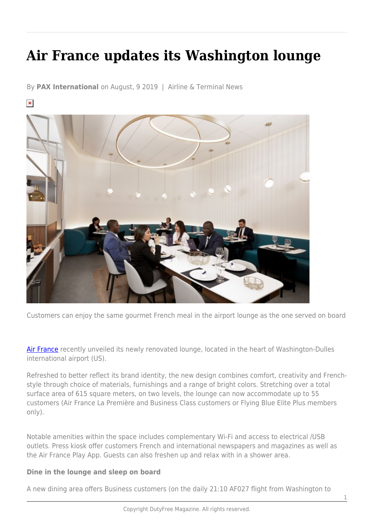## **Air France updates its Washington lounge**

By **PAX International** on August, 9 2019 | Airline & Terminal News

 $\pmb{\times}$ 



Customers can enjoy the same gourmet French meal in the airport lounge as the one served on board

[Air France](https://www.airfrance.ca/en) recently unveiled its newly renovated lounge, located in the heart of Washington-Dulles international airport (US).

Refreshed to better reflect its brand identity, the new design combines comfort, creativity and Frenchstyle through choice of materials, furnishings and a range of bright colors. Stretching over a total surface area of 615 square meters, on two levels, the lounge can now accommodate up to 55 customers (Air France La Première and Business Class customers or Flying Blue Elite Plus members only).

Notable amenities within the space includes complementary Wi-Fi and access to electrical /USB outlets. Press kiosk offer customers French and international newspapers and magazines as well as the Air France Play App. Guests can also freshen up and relax with in a shower area.

## **Dine in the lounge and sleep on board**

A new dining area offers Business customers (on the daily 21:10 AF027 flight from Washington to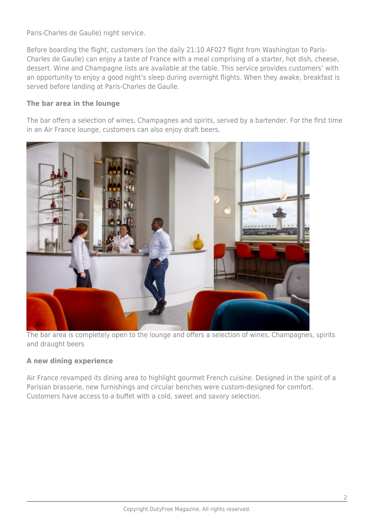Paris-Charles de Gaulle) night service.

Before boarding the flight, customers (on the daily 21:10 AF027 flight from Washington to Paris-Charles de Gaulle) can enjoy a taste of France with a meal comprising of a starter, hot dish, cheese, dessert. Wine and Champagne lists are available at the table. This service provides customers' with an opportunity to enjoy a good night's sleep during overnight flights. When they awake, breakfast is served before landing at Paris-Charles de Gaulle.

## **The bar area in the lounge**

The bar offers a selection of wines, Champagnes and spirits, served by a bartender. For the first time in an Air France lounge, customers can also enjoy draft beers.



The bar area is completely open to the lounge and offers a selection of wines, Champagnes, spirits and draught beers

## **A new dining experience**

Air France revamped its dining area to highlight gourmet French cuisine. Designed in the spirit of a Parisian brasserie, new furnishings and circular benches were custom-designed for comfort. Customers have access to a buffet with a cold, sweet and savory selection.